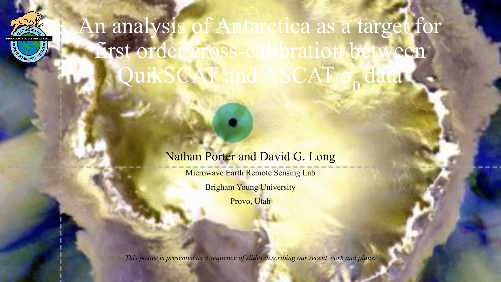

An analysis of Antarctica as a target for first order cross-calibration between QuikSCAT and ASCAT c

#### Nathan Porter and David G. Long

**Microwave Earth Remote Sensing Lab** 

Brigham Young University

Provo, Utah

*This poster is presented as a sequence of slides describing our recent work and plans.*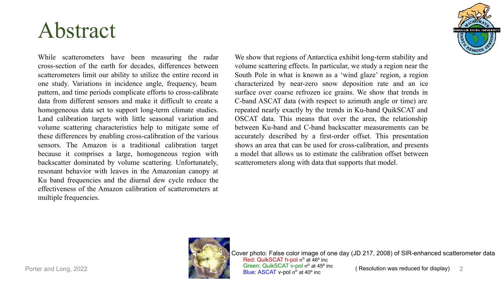#### Abstract

While scatterometers have been measuring the radar cross-section of the earth for decades, differences between scatterometers limit our ability to utilize the entire record in one study. Variations in incidence angle, frequency, beam pattern, and time periods complicate efforts to cross-calibrate data from different sensors and make it difficult to create a homogeneous data set to support long-term climate studies. Land calibration targets with little seasonal variation and volume scattering characteristics help to mitigate some of these differences by enabling cross-calibration of the various sensors. The Amazon is a traditional calibration target because it comprises a large, homogeneous region with backscatter dominated by volume scattering. Unfortunately, resonant behavior with leaves in the Amazonian canopy at Ku band frequencies and the diurnal dew cycle reduce the effectiveness of the Amazon calibration of scatterometers at multiple frequencies.

We show that regions of Antarctica exhibit long-term stability and volume scattering effects. In particular, we study a region near the South Pole in what is known as a 'wind glaze' region, a region characterized by near-zero snow deposition rate and an ice surface over coarse refrozen ice grains. We show that trends in C-band ASCAT data (with respect to azimuth angle or time) are repeated nearly exactly by the trends in Ku-band QuikSCAT and OSCAT data. This means that over the area, the relationship between Ku-band and C-band backscatter measurements can be accurately described by a first-order offset. This presentation shows an area that can be used for cross-calibration, and presents a model that allows us to estimate the calibration offset between scatterometers along with data that supports that model.



Porter and Long, 2022 **2** 2 2 2 2 2 2 2 2 2 2 2 **Blue: ASCAT v-pol** of at 40° inc **( Resolution was reduced for display)** Cover photo: False color image of one day (JD 217, 2008) of SIR-enhanced scatterometer data Red: QuikSCAT h-pol σ<sup>o</sup> at 46° inc Green: QuikSCAT v-pol  $σ<sup>o</sup>$  at 45<sup>o</sup> inc Blue: ASCAT v-pol σ<sup>ο</sup>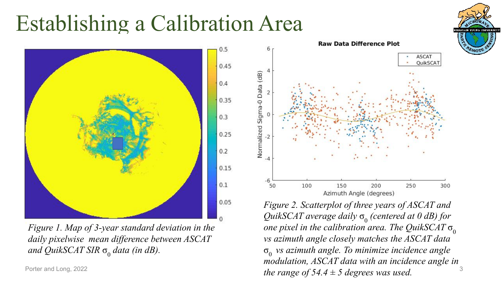### Establishing a Calibration Area



*Figure 1. Map of 3-year standard deviation in the daily pixelwise mean difference between ASCAT and QuikSCAT SIR*  $σ<sub>0</sub>$  *data (in dB).* 



Porter and Long, 2022  $\hspace{3cm}$   $3$ *Figure 2. Scatterplot of three years of ASCAT and QuikSCAT average daily*  $\sigma$ <sub>0</sub> (centered at 0 dB) for *one pixel in the calibration area. The QuikSCAT*  $\sigma_0$ *vs azimuth angle closely matches the ASCAT data*  σ0 *vs azimuth angle. To minimize incidence angle modulation, ASCAT data with an incidence angle in* 

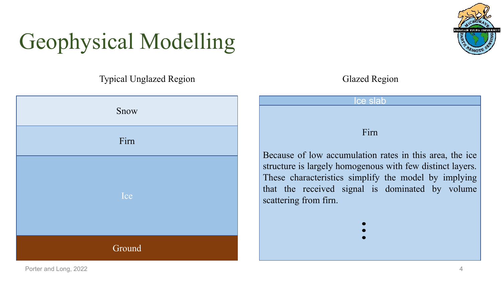# Geophysical Modelling

Typical Unglazed Region Glazed Region





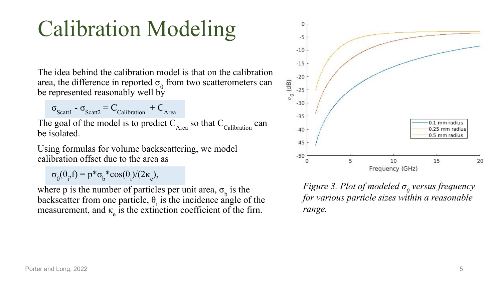## Calibration Modeling

The idea behind the calibration model is that on the calibration area, the difference in reported  $\sigma_0$  from two scatterometers can be represented reasonably well by

 $\sigma_{\text{Scatt1}}$  -  $\sigma_{\text{Scatt2}}$  = C<sub>Calibration</sub> + C<sub>Area</sub> The goal of the model is to predict  $C_{Area}$  so that  $C_{Calibration}$  can be isolated.

Using formulas for volume backscattering, we model calibration offset due to the area as

 $\sigma_0(\theta_i, f) = p * \sigma_b * \cos(\theta_i)/(2\kappa_e),$ 

where p is the number of particles per unit area,  $\sigma_b$  is the backscatter from one particle,  $\theta_i$  is the incidence angle of the measurement, and  $\kappa$ <sub>e</sub> is the extinction coefficient of the firm.



*Figure 3. Plot of modeled σ<sub>0</sub> versus frequency for various particle sizes within a reasonable range.*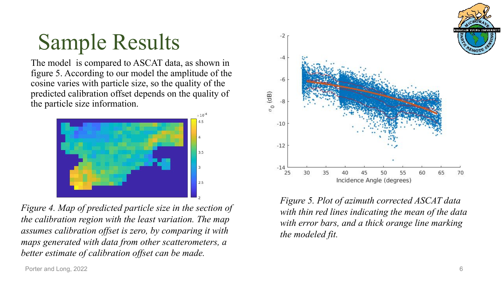

## Sample Results

The model is compared to ASCAT data, as shown in figure 5. According to our model the amplitude of the cosine varies with particle size, so the quality of the predicted calibration offset depends on the quality of the particle size information.



*Figure 4. Map of predicted particle size in the section of the calibration region with the least variation. The map assumes calibration offset is zero, by comparing it with maps generated with data from other scatterometers, a better estimate of calibration offset can be made.*

*Figure 5. Plot of azimuth corrected ASCAT data with thin red lines indicating the mean of the data with error bars, and a thick orange line marking the modeled fit.*

 $-2$ 

 $-4$ 

-6

 $-8$ 

 $-10$ 

 $-12$ 

 $-14$ 

25

 $\sigma_0$  (dB)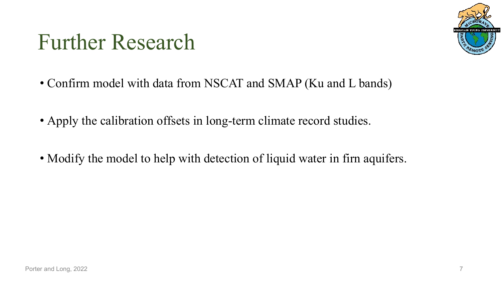#### Further Research



- Confirm model with data from NSCAT and SMAP (Ku and L bands)
- Apply the calibration offsets in long-term climate record studies.
- Modify the model to help with detection of liquid water in firn aquifers.